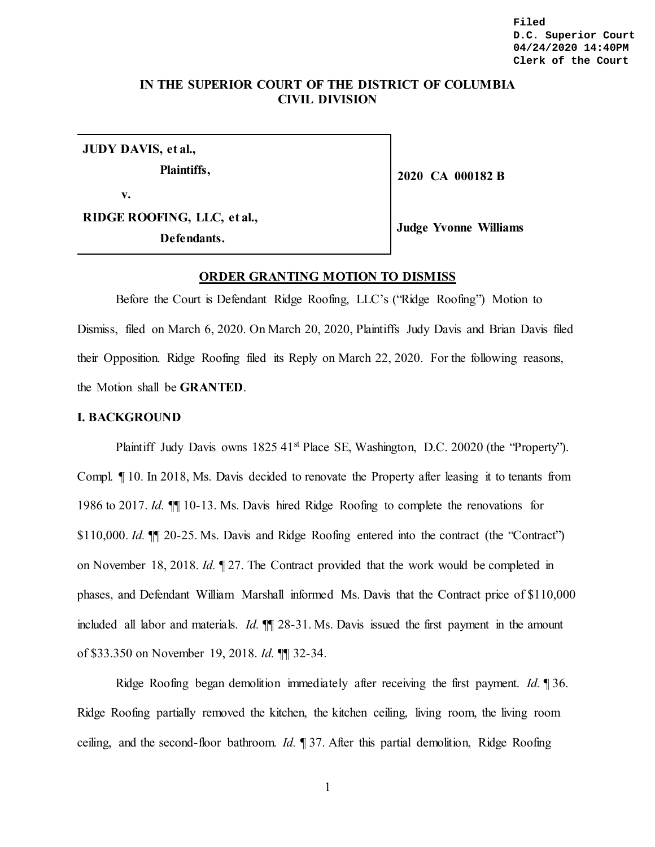**Filed D.C. Superior Court 04/24/2020 14:40PM Clerk of the Court**

# **IN THE SUPERIOR COURT OF THE DISTRICT OF COLUMBIA CIVIL DIVISION**

**JUDY DAVIS, et al.,** 

**Plaintiffs,** 

**v.**

**RIDGE ROOFING, LLC, et al., Defendants.** 

**Judge Yvonne Williams**

**2020 CA 000182 B**

### **ORDER GRANTING MOTION TO DISMISS**

Before the Court is Defendant Ridge Roofing, LLC's ("Ridge Roofing") Motion to Dismiss, filed on March 6, 2020. On March 20, 2020, Plaintiffs Judy Davis and Brian Davis filed their Opposition. Ridge Roofing filed its Reply on March 22, 2020. For the following reasons, the Motion shall be **GRANTED**.

### **I. BACKGROUND**

Plaintiff Judy Davis owns 1825 41<sup>st</sup> Place SE, Washington, D.C. 20020 (the "Property"). Compl. ¶ 10. In 2018, Ms. Davis decided to renovate the Property after leasing it to tenants from 1986 to 2017. *Id.* ¶¶ 10-13. Ms. Davis hired Ridge Roofing to complete the renovations for \$110,000. *Id.*  $\mathbb{I}$  20-25. Ms. Davis and Ridge Roofing entered into the contract (the "Contract") on November 18, 2018. *Id.* ¶ 27. The Contract provided that the work would be completed in phases, and Defendant William Marshall informed Ms. Davis that the Contract price of \$110,000 included all labor and materials. *Id.* ¶¶ 28-31. Ms. Davis issued the first payment in the amount of \$33.350 on November 19, 2018. *Id.* ¶¶ 32-34.

Ridge Roofing began demolition immediately after receiving the first payment. *Id.* ¶ 36. Ridge Roofing partially removed the kitchen, the kitchen ceiling, living room, the living room ceiling, and the second-floor bathroom. *Id.* ¶ 37. After this partial demolition, Ridge Roofing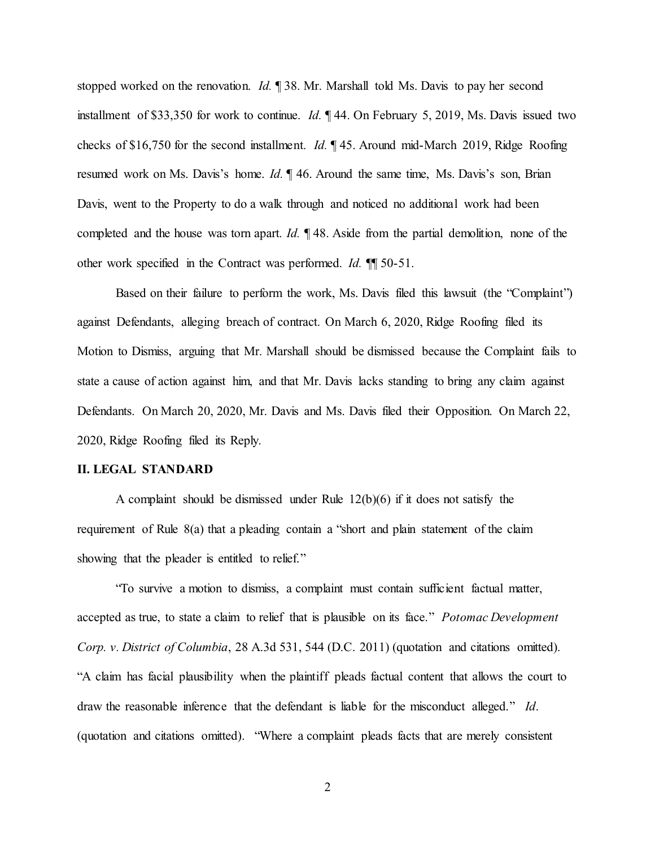stopped worked on the renovation. *Id.* ¶ 38. Mr. Marshall told Ms. Davis to pay her second installment of \$33,350 for work to continue. *Id.* ¶ 44. On February 5, 2019, Ms. Davis issued two checks of \$16,750 for the second installment. *Id.* ¶ 45. Around mid-March 2019, Ridge Roofing resumed work on Ms. Davis's home. *Id.*  $\parallel$  46. Around the same time, Ms. Davis's son, Brian Davis, went to the Property to do a walk through and noticed no additional work had been completed and the house was torn apart. *Id.* ¶ 48. Aside from the partial demolition, none of the other work specified in the Contract was performed. *Id.* ¶¶ 50-51.

Based on their failure to perform the work, Ms. Davis filed this lawsuit (the "Complaint") against Defendants, alleging breach of contract. On March 6, 2020, Ridge Roofing filed its Motion to Dismiss, arguing that Mr. Marshall should be dismissed because the Complaint fails to state a cause of action against him, and that Mr. Davis lacks standing to bring any claim against Defendants. On March 20, 2020, Mr. Davis and Ms. Davis filed their Opposition. On March 22, 2020, Ridge Roofing filed its Reply.

### **II. LEGAL STANDARD**

A complaint should be dismissed under Rule 12(b)(6) if it does not satisfy the requirement of Rule 8(a) that a pleading contain a "short and plain statement of the claim showing that the pleader is entitled to relief."

"To survive a motion to dismiss, a complaint must contain sufficient factual matter, accepted as true, to state a claim to relief that is plausible on its face." *Potomac Development Corp. v. District of Columbia*, 28 A.3d 531, 544 (D.C. 2011) (quotation and citations omitted). "A claim has facial plausibility when the plaintiff pleads factual content that allows the court to draw the reasonable inference that the defendant is liable for the misconduct alleged." *Id*. (quotation and citations omitted). "Where a complaint pleads facts that are merely consistent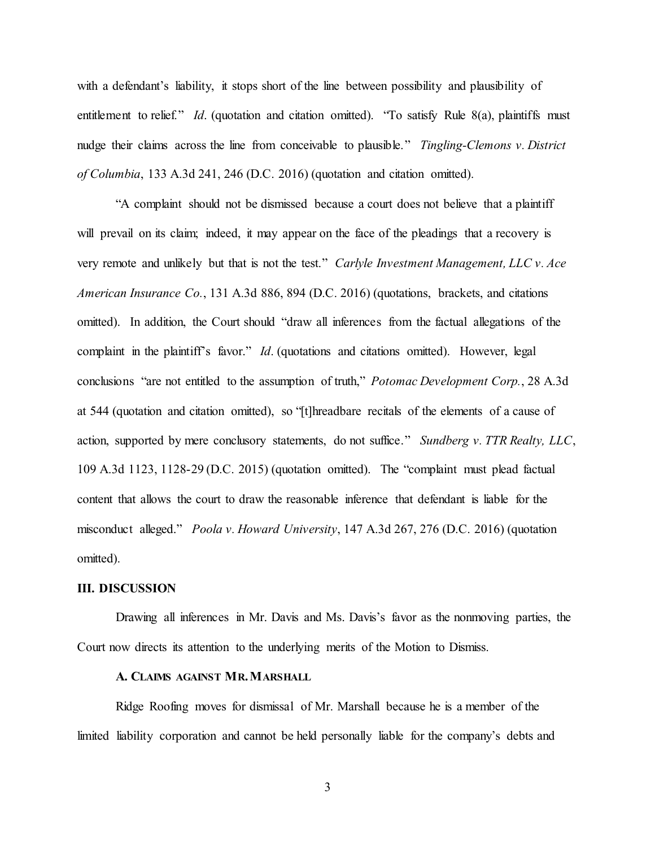with a defendant's liability, it stops short of the line between possibility and plausibility of entitlement to relief." *Id*. (quotation and citation omitted). "To satisfy Rule 8(a), plaintiffs must nudge their claims across the line from conceivable to plausible." *Tingling-Clemons v. District of Columbia*, 133 A.3d 241, 246 (D.C. 2016) (quotation and citation omitted).

"A complaint should not be dismissed because a court does not believe that a plaintiff will prevail on its claim; indeed, it may appear on the face of the pleadings that a recovery is very remote and unlikely but that is not the test." *Carlyle Investment Management, LLC v. Ace American Insurance Co.*, 131 A.3d 886, 894 (D.C. 2016) (quotations, brackets, and citations omitted). In addition, the Court should "draw all inferences from the factual allegations of the complaint in the plaintiff's favor." *Id*. (quotations and citations omitted). However, legal conclusions "are not entitled to the assumption of truth," *Potomac Development Corp.*, 28 A.3d at 544 (quotation and citation omitted), so "[t]hreadbare recitals of the elements of a cause of action, supported by mere conclusory statements, do not suffice." *Sundberg v. TTR Realty, LLC*, 109 A.3d 1123, 1128-29 (D.C. 2015) (quotation omitted). The "complaint must plead factual content that allows the court to draw the reasonable inference that defendant is liable for the misconduct alleged." *Poola v. Howard University*, 147 A.3d 267, 276 (D.C. 2016) (quotation omitted).

### **III. DISCUSSION**

Drawing all inferences in Mr. Davis and Ms. Davis's favor as the nonmoving parties, the Court now directs its attention to the underlying merits of the Motion to Dismiss.

## **A. CLAIMS AGAINST MR.MARSHALL**

Ridge Roofing moves for dismissal of Mr. Marshall because he is a member of the limited liability corporation and cannot be held personally liable for the company's debts and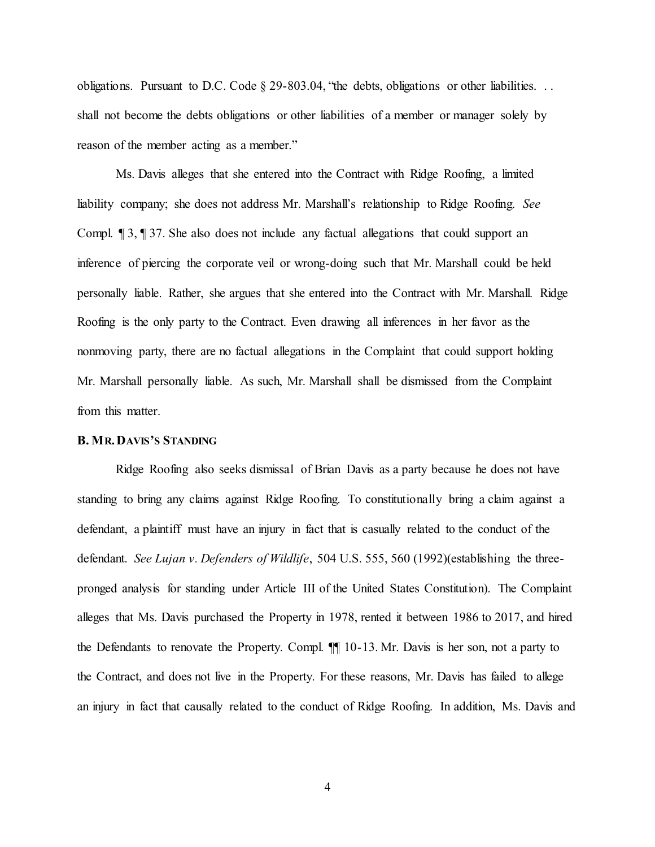obligations. Pursuant to D.C. Code § 29-803.04, "the debts, obligations or other liabilities. . . shall not become the debts obligations or other liabilities of a member or manager solely by reason of the member acting as a member."

Ms. Davis alleges that she entered into the Contract with Ridge Roofing, a limited liability company; she does not address Mr. Marshall's relationship to Ridge Roofing. *See*  Compl. ¶ 3, ¶ 37. She also does not include any factual allegations that could support an inference of piercing the corporate veil or wrong-doing such that Mr. Marshall could be held personally liable. Rather, she argues that she entered into the Contract with Mr. Marshall. Ridge Roofing is the only party to the Contract. Even drawing all inferences in her favor as the nonmoving party, there are no factual allegations in the Complaint that could support holding Mr. Marshall personally liable. As such, Mr. Marshall shall be dismissed from the Complaint from this matter.

#### **B. MR.DAVIS'S STANDING**

Ridge Roofing also seeks dismissal of Brian Davis as a party because he does not have standing to bring any claims against Ridge Roofing. To constitutionally bring a claim against a defendant, a plaintiff must have an injury in fact that is casually related to the conduct of the defendant. *See Lujan v. Defenders of Wildlife*, 504 U.S. 555, 560 (1992)(establishing the threepronged analysis for standing under Article III of the United States Constitution). The Complaint alleges that Ms. Davis purchased the Property in 1978, rented it between 1986 to 2017, and hired the Defendants to renovate the Property. Compl. ¶¶ 10-13. Mr. Davis is her son, not a party to the Contract, and does not live in the Property. For these reasons, Mr. Davis has failed to allege an injury in fact that causally related to the conduct of Ridge Roofing. In addition, Ms. Davis and